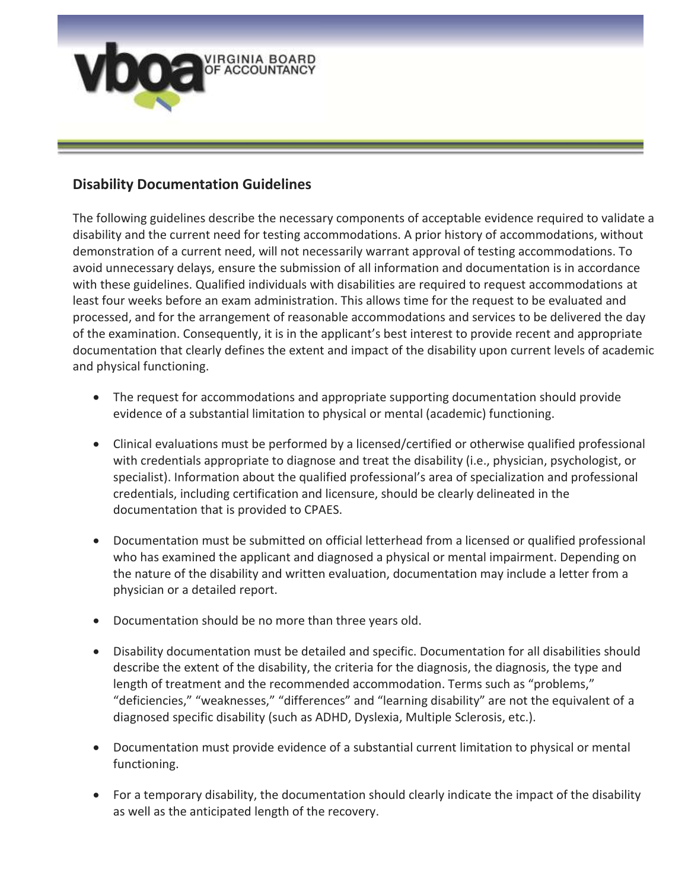

## **Disability Documentation Guidelines**

The following guidelines describe the necessary components of acceptable evidence required to validate a disability and the current need for testing accommodations. A prior history of accommodations, without demonstration of a current need, will not necessarily warrant approval of testing accommodations. To avoid unnecessary delays, ensure the submission of all information and documentation is in accordance with these guidelines. Qualified individuals with disabilities are required to request accommodations at least four weeks before an exam administration. This allows time for the request to be evaluated and processed, and for the arrangement of reasonable accommodations and services to be delivered the day of the examination. Consequently, it is in the applicant's best interest to provide recent and appropriate documentation that clearly defines the extent and impact of the disability upon current levels of academic and physical functioning.

- The request for accommodations and appropriate supporting documentation should provide evidence of a substantial limitation to physical or mental (academic) functioning.
- Clinical evaluations must be performed by a licensed/certified or otherwise qualified professional with credentials appropriate to diagnose and treat the disability (i.e., physician, psychologist, or specialist). Information about the qualified professional's area of specialization and professional credentials, including certification and licensure, should be clearly delineated in the documentation that is provided to CPAES.
- Documentation must be submitted on official letterhead from a licensed or qualified professional who has examined the applicant and diagnosed a physical or mental impairment. Depending on the nature of the disability and written evaluation, documentation may include a letter from a physician or a detailed report.
- Documentation should be no more than three years old.
- Disability documentation must be detailed and specific. Documentation for all disabilities should describe the extent of the disability, the criteria for the diagnosis, the diagnosis, the type and length of treatment and the recommended accommodation. Terms such as "problems," "deficiencies," "weaknesses," "differences" and "learning disability" are not the equivalent of a diagnosed specific disability (such as ADHD, Dyslexia, Multiple Sclerosis, etc.).
- Documentation must provide evidence of a substantial current limitation to physical or mental functioning.
- For a temporary disability, the documentation should clearly indicate the impact of the disability as well as the anticipated length of the recovery.